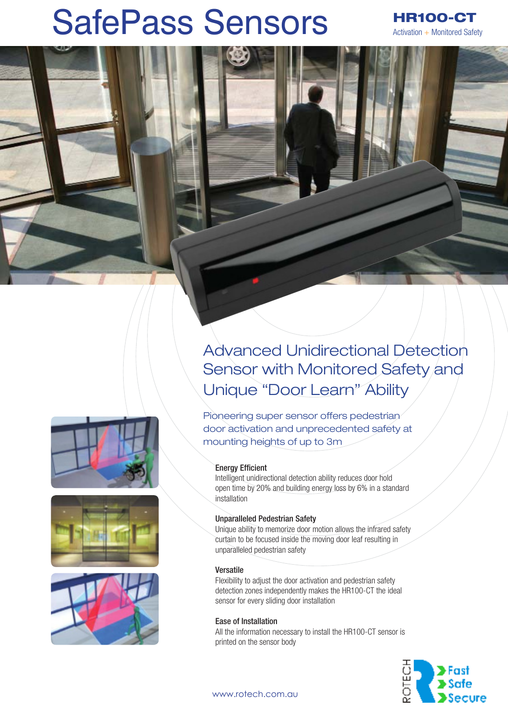# SafePass Sensors

HR100-CT Activation + Monitored Safety

Advanced Unidirectional Detection Sensor with Monitored Safety and Unique "Door Learn" Ability

Pioneering super sensor offers pedestrian door activation and unprecedented safety at mounting heights of up to 3m

#### **Energy Efficient**

Intelligent unidirectional detection ability reduces door hold open time by 20% and building energy loss by 6% in a standard installation

#### Unparalleled Pedestrian Safety

Unique ability to memorize door motion allows the infrared safety curtain to be focused inside the moving door leaf resulting in unparalleled pedestrian safety

#### Versatile

Flexibility to adjust the door activation and pedestrian safety detection zones independently makes the HR100-CT the ideal sensor for every sliding door installation

### Ease of Installation

All the information necessary to install the HR100-CT sensor is printed on the sensor body